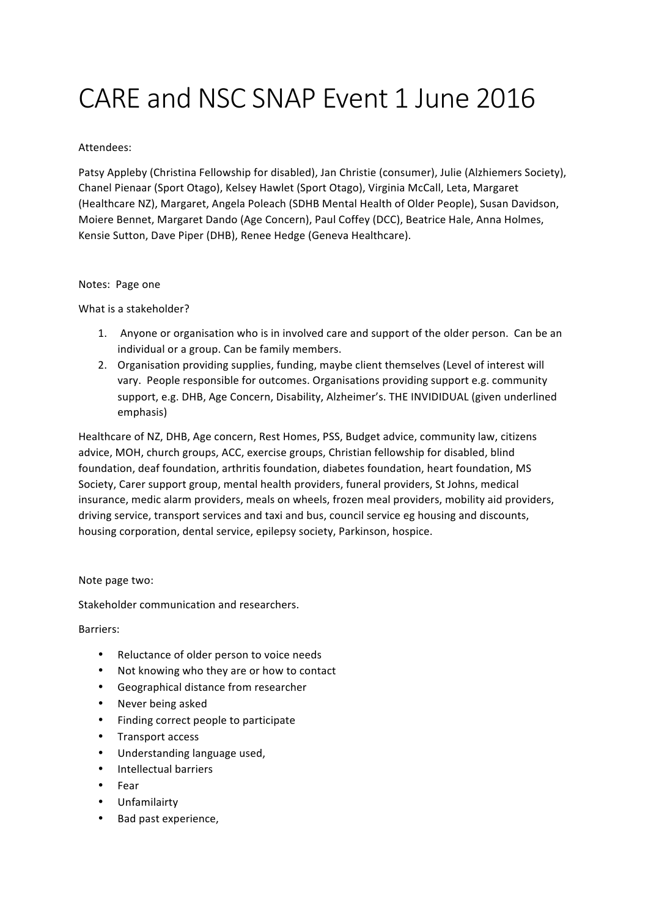# CARE and NSC SNAP Event 1 June 2016

### Attendees:

Patsy Appleby (Christina Fellowship for disabled), Jan Christie (consumer), Julie (Alzhiemers Society), Chanel Pienaar (Sport Otago), Kelsey Hawlet (Sport Otago), Virginia McCall, Leta, Margaret (Healthcare NZ), Margaret, Angela Poleach (SDHB Mental Health of Older People), Susan Davidson, Moiere Bennet, Margaret Dando (Age Concern), Paul Coffey (DCC), Beatrice Hale, Anna Holmes, Kensie Sutton, Dave Piper (DHB), Renee Hedge (Geneva Healthcare).

#### Notes: Page one

What is a stakeholder?

- 1. Anyone or organisation who is in involved care and support of the older person. Can be an individual or a group. Can be family members.
- 2. Organisation providing supplies, funding, maybe client themselves (Level of interest will vary. People responsible for outcomes. Organisations providing support e.g. community support, e.g. DHB, Age Concern, Disability, Alzheimer's. THE INVIDIDUAL (given underlined emphasis)

Healthcare of NZ, DHB, Age concern, Rest Homes, PSS, Budget advice, community law, citizens advice, MOH, church groups, ACC, exercise groups, Christian fellowship for disabled, blind foundation, deaf foundation, arthritis foundation, diabetes foundation, heart foundation, MS Society, Carer support group, mental health providers, funeral providers, St Johns, medical insurance, medic alarm providers, meals on wheels, frozen meal providers, mobility aid providers, driving service, transport services and taxi and bus, council service eg housing and discounts, housing corporation, dental service, epilepsy society, Parkinson, hospice.

#### Note page two:

Stakeholder communication and researchers.

Barriers: 

- Reluctance of older person to voice needs
- Not knowing who they are or how to contact
- Geographical distance from researcher
- Never being asked
- Finding correct people to participate
- Transport access
- Understanding language used,
- Intellectual barriers
- Fear
- Unfamilairty
- Bad past experience.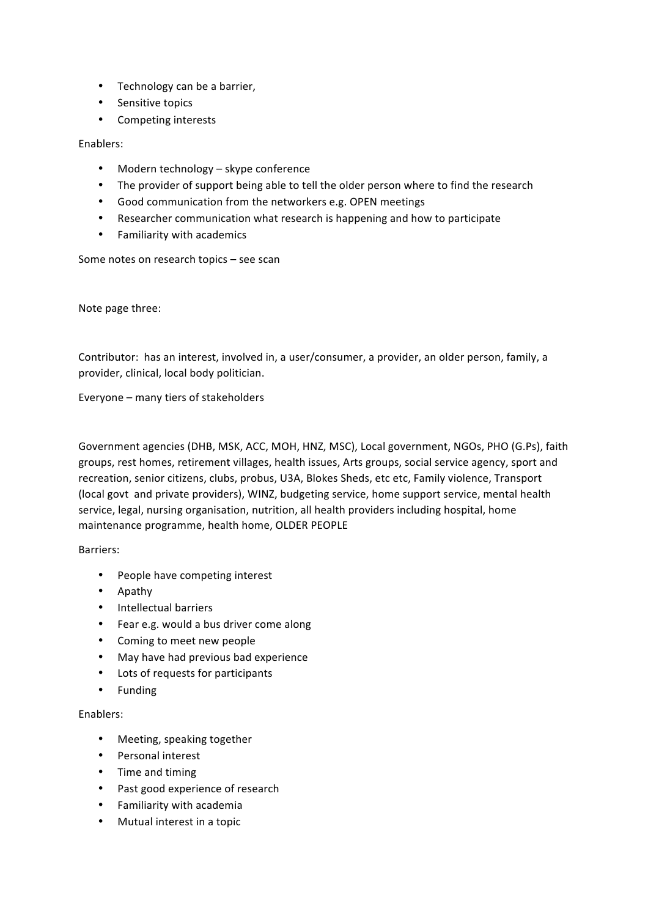- Technology can be a barrier,
- Sensitive topics
- Competing interests

#### Enablers:

- Modern technology skype conference
- The provider of support being able to tell the older person where to find the research
- Good communication from the networkers e.g. OPEN meetings
- Researcher communication what research is happening and how to participate
- Familiarity with academics

Some notes on research topics - see scan

Note page three:

Contributor: has an interest, involved in, a user/consumer, a provider, an older person, family, a provider, clinical, local body politician.

Everyone – many tiers of stakeholders

Government agencies (DHB, MSK, ACC, MOH, HNZ, MSC), Local government, NGOs, PHO (G.Ps), faith groups, rest homes, retirement villages, health issues, Arts groups, social service agency, sport and recreation, senior citizens, clubs, probus, U3A, Blokes Sheds, etc etc, Family violence, Transport (local govt and private providers), WINZ, budgeting service, home support service, mental health service, legal, nursing organisation, nutrition, all health providers including hospital, home maintenance programme, health home, OLDER PEOPLE

Barriers:

- People have competing interest
- Apathy
- Intellectual barriers
- Fear e.g. would a bus driver come along
- Coming to meet new people
- May have had previous bad experience
- Lots of requests for participants
- Funding

## Enablers:

- Meeting, speaking together
- Personal interest
- Time and timing
- Past good experience of research
- Familiarity with academia
- Mutual interest in a topic